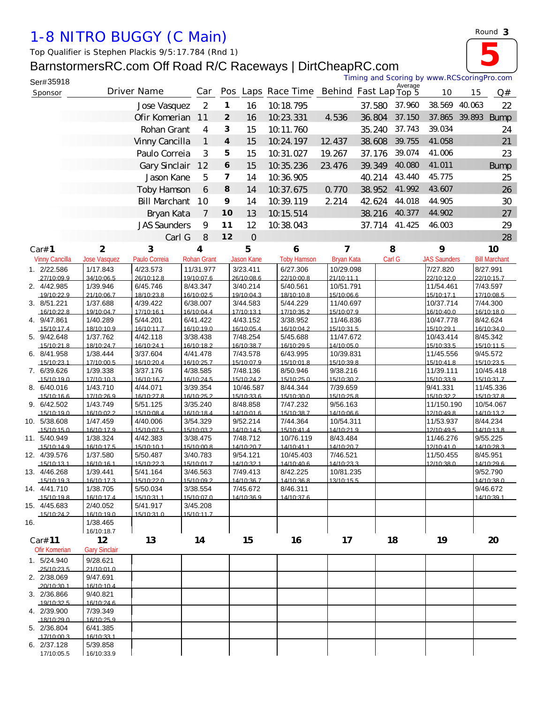## *1-8 NITRO BUGGY (C Main)*

*Top Qualifier is Stephen Plackis 9/5:17.784 (Rnd 1)*

## BarnstormersRC.com Off Road R/C Raceways | DirtCheapRC.com



| $\sim$ |
|--------|
|--------|

|     | Ser#35918                    |                                 |                        |                         |                         |                        |                                          |                         | Timing and Scoring by www.RCScoringPro.com |         |                          |               |                         |
|-----|------------------------------|---------------------------------|------------------------|-------------------------|-------------------------|------------------------|------------------------------------------|-------------------------|--------------------------------------------|---------|--------------------------|---------------|-------------------------|
|     | Sponsor                      |                                 | Driver Name            | Car                     |                         |                        | Pos Laps Race Time Behind Fast Lap Top 5 |                         |                                            | Average | 10                       | 15            | Q#                      |
|     |                              |                                 | Jose Vasquez           | $\overline{2}$          | $\mathbf{1}$            | 16                     | 10.18.795                                |                         | 37.580                                     | 37.960  | 38.569                   | 40.063        | 22                      |
|     |                              |                                 | Ofir Komerian          | 11                      | $\overline{2}$          | 16                     | 10.23.331                                | 4.536                   | 36.804                                     | 37.150  |                          | 37.865 39.893 | <b>Bump</b>             |
|     |                              |                                 | Rohan Grant            | 4                       | 3                       | 15                     | 10.11.760                                |                         | 35.240                                     | 37.743  | 39.034                   |               | 24                      |
|     |                              |                                 | Vinny Cancilla         | 1                       | $\boldsymbol{4}$        | 15                     | 10.24.197                                | 12.437                  | 38.608                                     | 39.755  | 41.058                   |               | 21                      |
|     |                              |                                 | Paulo Correia          | 3                       | 5                       | 15                     | 10.31.027                                | 19.267                  | 37.176                                     | 39.074  | 41.006                   |               | 23                      |
|     |                              |                                 | Gary Sinclair          | 12                      | 6                       | 15                     | 10.35.236                                | 23.476                  | 39.349                                     | 40.080  | 41.011                   |               | <b>Bump</b>             |
|     |                              |                                 |                        |                         | $\overline{\mathbf{z}}$ |                        |                                          |                         |                                            | 43.440  | 45.775                   |               |                         |
|     |                              |                                 | Jason Kane             | 5                       |                         | 14                     | 10.36.905                                |                         | 40.214                                     |         |                          |               | 25                      |
|     |                              |                                 | <b>Toby Hamson</b>     | 6                       | 8                       | 14                     | 10.37.675                                | 0.770                   | 38.952                                     | 41.992  | 43.607                   |               | 26                      |
|     |                              |                                 | <b>Bill Marchant</b>   | 10                      | 9                       | 14                     | 10.39.119                                | 2.214                   | 42.624                                     | 44.018  | 44.905                   |               | 30                      |
|     |                              |                                 | Bryan Kata             | 7                       | 10                      | 13                     | 10.15.514                                |                         | 38.216                                     | 40.377  | 44.902                   |               | 27                      |
|     |                              |                                 | <b>JAS Saunders</b>    | 9                       | 11                      | 12                     | 10.38.043                                |                         | 37.714                                     | 41.425  | 46.003                   |               | 29                      |
|     |                              |                                 | Carl G                 | 8                       | 12                      | $\mathbf 0$            |                                          |                         |                                            |         |                          |               | 28                      |
|     | Car# 1                       | $\mathbf{2}$                    | 3                      | 4                       |                         | 5                      | 6                                        | 7                       |                                            | 8       | 9                        |               | 10                      |
|     | <b>Vinny Cancilla</b>        | <b>Jose Vasquez</b>             | Paulo Correia          | <b>Rohan Grant</b>      |                         | <b>Jason Kane</b>      | <b>Toby Hamson</b>                       | <b>Bryan Kata</b>       |                                            | Carl G  | <b>JAS Saunders</b>      |               | <b>Bill Marchant</b>    |
|     | 1. 2/22.586<br>27/10:09.9    | 1/17.843<br>34/10:06.5          | 4/23.573<br>26/10:12.8 | 11/31.977<br>19/10:07.6 |                         | 3/23.411<br>26/10:08.6 | 6/27.306<br>22/10:00.8                   | 10/29.098<br>21/10:11.1 |                                            |         | 7/27.820<br>22/10:12.0   |               | 8/27.991<br>22/10:15.7  |
|     | 2. 4/42.985                  | 1/39.946                        | 6/45.746               | 8/43.347                |                         | 3/40.214               | 5/40.561                                 | 10/51.791               |                                            |         | 11/54.461                |               | 7/43.597                |
|     | 19/10:22.9                   | 21/10:06.7                      | 18/10:23.8             | 16/10:02.5              |                         | 19/10:04.3             | 18/10:10 8                               | 15/10:06.6              |                                            |         | 15/10:17.1               |               | 17/10:08.5              |
|     | 3. 8/51.221<br>16/10:22.8    | 1/37.688<br>19/10:04.7          | 4/39.422<br>17/10:16.1 | 6/38.007<br>16/10:04.4  |                         | 3/44.583<br>17/10:13.1 | 5/44.229<br>17/10:35.2                   | 11/40.697<br>15/10:07.9 |                                            |         | 10/37.714<br>16/10:40.0  |               | 7/44.300<br>16/10:18.0  |
|     | 4. 9/47.861                  | 1/40.289                        | 5/44.201               | 6/41.422                |                         | 4/43.152               | 3/38.952                                 | 11/46.836               |                                            |         | 10/47.778                |               | 8/42.624                |
|     | 15/10:17.4                   | 18/10:10.9                      | 16/10:11.7             | 16/10:19.0              |                         | 16/10:05.4             | 16/10:04.2                               | 15/10:31.5              |                                            |         | 15/10:29.1               |               | 16/10:34.0              |
|     | 5. 9/42.648<br>15/10:21 8    | 1/37.762<br>18/10:24 7          | 4/42.118<br>16/10:24 1 | 3/38.438<br>16/10:18.2  |                         | 7/48.254<br>16/10:38 7 | 5/45.688<br>16/10:29.5                   | 11/47.672<br>14/10:05.0 |                                            |         | 10/43.414<br>15/10:33.5  |               | 8/45.342<br>15/10:11.5  |
|     | 6. 8/41.958                  | 1/38.444                        | 3/37.604               | 4/41.478                |                         | 7/43.578               | 6/43.995                                 | 10/39.831               |                                            |         | 11/45.556                |               | 9/45.572                |
|     | 15/10:23.1                   | 17/10:00.5                      | 16/10:20.4             | 16/10:25.7              |                         | 15/10:07.9             | 15/10:01.8                               | 15/10:39.8              |                                            |         | 15/10:41.8               |               | 15/10:23.5              |
|     | 7. 6/39.626<br>15/10:19.0    | 1/39.338<br>17/10:10.3          | 3/37.176<br>16/10:16.7 | 4/38.585<br>16/10:24.5  |                         | 7/48.136<br>15/10:24.2 | 8/50.946<br>15/10:25.0                   | 9/38.216<br>15/10:30.2  |                                            |         | 11/39.111<br>15/10:33.9  |               | 10/45.418<br>15/10:31.7 |
|     | 8. 6/40.016                  | 1/43.710                        | 4/44.071               | 3/39.354                |                         | 10/46.587              | 8/44.344                                 | 7/39.659                |                                            |         | 9/41.331                 |               | 11/45.336               |
|     | 15/10:16.6                   | 17/10:26.9                      | 16/10:27.8             | 16/10:25.2              |                         | 15/10:33.6             | 15/10:30.0                               | 15/10:25.8              |                                            |         | 15/10:32.2               |               | 15/10:37.8              |
|     | 9. 6/42.502<br>15/10:19.0    | 1/43.749<br>16/10:02.2          | 5/51.125<br>15/10:08.4 | 3/35.240<br>16/10:18.4  |                         | 8/48.858<br>14/10:01.6 | 7/47.232<br>15/10:38.7                   | 9/56.163<br>14/10:06.6  |                                            |         | 11/150.190<br>12/10:49.8 |               | 10/54.067<br>14/10:13.2 |
|     | 10. 5/38.608                 | 1/47.459                        | 4/40.006               | 3/54.329                |                         | 9/52.214               | 7/44.364                                 | 10/54.311               |                                            |         | 11/53.937                |               | 8/44.234                |
|     | 15/10:15.0                   | 16/10:17.9                      | 15/10:07.5             | 15/10:03.2              |                         | 14/10:14.5             | 15/10:41.4                               | 14/10:21.9              |                                            |         | 12/10:49.5               |               | 14/10:13.8              |
|     | 11. 5/40.949<br>15/10:14.9   | 1/38.324<br>16/10:17.5          | 4/42.383<br>15/10:10.1 | 3/38.475<br>15/10:00.8  |                         | 7/48.712<br>14/10:20.7 | 10/76.119<br>14/10:41.1                  | 8/43.484<br>14/10:20.7  |                                            |         | 11/46.276<br>12/10:41.0  |               | 9/55.225<br>14/10:28.3  |
|     | 12. 4/39.576                 | 1/37.580                        | 5/50.487               | 3/40.783                |                         | 9/54.121               | 10/45.403                                | 7/46.521                |                                            |         | 11/50.455                |               | 8/45.951                |
|     | 15/10:13.1                   | 16/10:16.1                      | 15/10:22.3             | 15/10:01.7              |                         | 14/10:32.1             | 14/10:40.6                               | 14/10:23.3              |                                            |         | 12/10:38.0               |               | 14/10:29.6              |
|     | 13. 4/46.268<br>15/10.19.3   | 1/39.441<br>16/10:17.3          | 5/41.164<br>15/10:22.0 | 3/46.563<br>15/10:09.2  |                         | 7/49.413<br>14/10:36.7 | 8/42.225<br>14/10:36.8                   | 10/81.235<br>13/10:15.5 |                                            |         |                          |               | 9/52.790<br>14/10:38.0  |
|     | 14. 4/41.710                 | 1/38.705                        | 5/50.034               | 3/38.554                |                         | 7/45.672               | 8/46.311                                 |                         |                                            |         |                          |               | 9/46.672                |
|     | 15/10:19.8                   | 16/10:17.4                      | 15/10:31.1             | 15/10:07.0              |                         | 14/10:36.9             | 14/10:37.6                               |                         |                                            |         |                          |               | 14/10:39.1              |
|     | 15. 4/45.683<br>15/10:24.2   | 2/40.052<br>16/10:19.0          | 5/41.917<br>15/10:31.0 | 3/45.208<br>15/10:11.7  |                         |                        |                                          |                         |                                            |         |                          |               |                         |
| 16. |                              | 1/38.465                        |                        |                         |                         |                        |                                          |                         |                                            |         |                          |               |                         |
|     |                              | 16/10:18.7                      |                        |                         |                         |                        |                                          |                         |                                            |         |                          |               |                         |
|     | Car# 11                      | 12                              | 13                     | 14                      |                         | 15                     | 16                                       | 17                      |                                            | 18      | 19                       |               | 20                      |
|     | Ofir Komerian<br>1. 5/24.940 | <b>Gary Sindair</b><br>9/28.621 |                        |                         |                         |                        |                                          |                         |                                            |         |                          |               |                         |
|     | 25/10:23.5                   | 21/10:01.0                      |                        |                         |                         |                        |                                          |                         |                                            |         |                          |               |                         |
|     | 2. 2/38.069                  | 9/47.691                        |                        |                         |                         |                        |                                          |                         |                                            |         |                          |               |                         |
|     | 20/10:30.1<br>3. 2/36.866    | 16/10:10.4<br>9/40.821          |                        |                         |                         |                        |                                          |                         |                                            |         |                          |               |                         |
|     | 19/10:32.5                   | 16/10:24.6                      |                        |                         |                         |                        |                                          |                         |                                            |         |                          |               |                         |
|     | 4. 2/39.900                  | 7/39.349                        |                        |                         |                         |                        |                                          |                         |                                            |         |                          |               |                         |
|     | 18/10:29.0<br>5. 2/36.804    | 16/10:25.9<br>6/41.385          |                        |                         |                         |                        |                                          |                         |                                            |         |                          |               |                         |
|     | 17/10:00.3                   | 16/10:33.1                      |                        |                         |                         |                        |                                          |                         |                                            |         |                          |               |                         |
|     | 6. 2/37.128                  | 5/39.858                        |                        |                         |                         |                        |                                          |                         |                                            |         |                          |               |                         |
|     | 17/10:05.5                   | 16/10:33.9                      |                        |                         |                         |                        |                                          |                         |                                            |         |                          |               |                         |